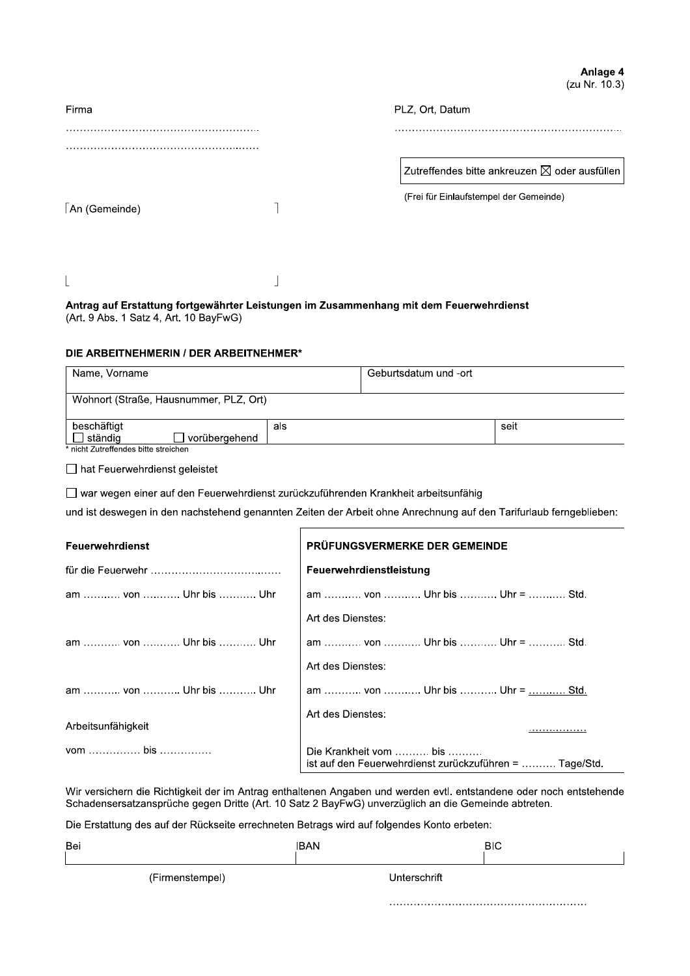Anlage 4 (zu Nr. 10.3)

| Firma         |  | PLZ, Ort, Datum                                                                                   |  |  |
|---------------|--|---------------------------------------------------------------------------------------------------|--|--|
|               |  |                                                                                                   |  |  |
|               |  | Zutreffendes bitte ankreuzen $\boxtimes$ oder ausfüllen<br>(Frei für Einlaufstempel der Gemeinde) |  |  |
| An (Gemeinde) |  |                                                                                                   |  |  |
|               |  |                                                                                                   |  |  |

## Antrag auf Erstattung fortgewährter Leistungen im Zusammenhang mit dem Feuerwehrdienst (Art. 9 Abs. 1 Satz 4, Art. 10 BayFwG)

## DIE ARBEITNEHMERIN / DER ARBEITNEHMER\*

| Name, Vorname          |                                        |     | Geburtsdatum und -ort |      |
|------------------------|----------------------------------------|-----|-----------------------|------|
|                        | Wohnort (Straße, Hausnummer, PLZ, Ort) |     |                       |      |
| beschäftigt<br>ständig | worübergehend                          | als |                       | seit |

\* nicht Zutreffendes bitte streichen

□ hat Feuerwehrdienst geleistet

□ war wegen einer auf den Feuerwehrdienst zurückzuführenden Krankheit arbeitsunfähig

und ist deswegen in den nachstehend genannten Zeiten der Arbeit ohne Anrechnung auf den Tarifurlaub ferngeblieben:

| Feuerwehrdienst       | PRÜFUNGSVERMERKE DER GEMEINDE                                                     |
|-----------------------|-----------------------------------------------------------------------------------|
|                       | Feuerwehrdienstleistung                                                           |
| am  von  Uhr bis  Uhr | am  von  Uhr bis  Uhr =  Std.                                                     |
|                       | Art des Dienstes:                                                                 |
| am  von  Uhr bis  Uhr | am  von  Uhr bis  Uhr =  Std.                                                     |
|                       | Art des Dienstes:                                                                 |
| am  von  Uhr bis  Uhr | am  von  Uhr bis  Uhr =  Std.                                                     |
|                       | Art des Dienstes:                                                                 |
| Arbeitsunfähigkeit    | .                                                                                 |
| vom  bis              | Die Krankheit vom  bis<br>ist auf den Feuerwehrdienst zurückzuführen =  Tage/Std. |

Wir versichern die Richtigkeit der im Antrag enthaltenen Angaben und werden evtl. entstandene oder noch entstehende Schadensersatzansprüche gegen Dritte (Art. 10 Satz 2 BayFwG) unverzüglich an die Gemeinde abtreten.

Die Erstattung des auf der Rückseite errechneten Betrags wird auf folgendes Konto erbeten:

| Bei             | <b>IBAN</b>  | <b>BIC</b> |
|-----------------|--------------|------------|
| (Firmenstempel) | Unterschrift |            |
|                 |              |            |